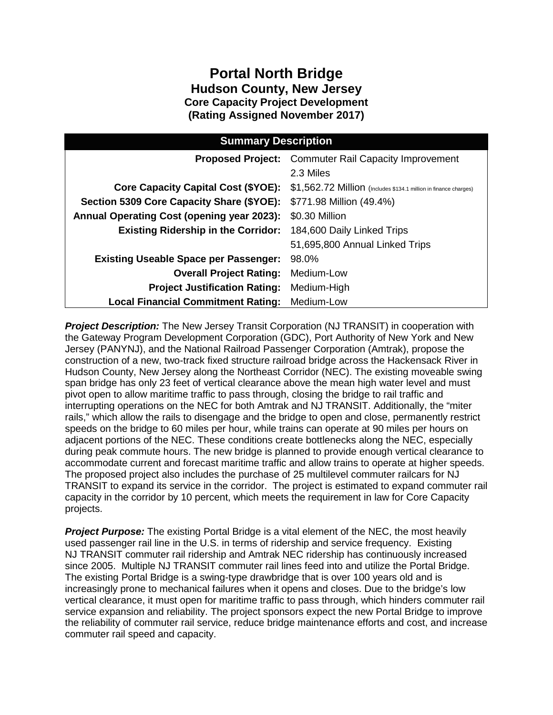## **Portal North Bridge Hudson County, New Jersey Core Capacity Project Development (Rating Assigned November 2017)**

| <b>Summary Description</b>                        |                                                                  |  |  |
|---------------------------------------------------|------------------------------------------------------------------|--|--|
|                                                   | <b>Proposed Project:</b> Commuter Rail Capacity Improvement      |  |  |
|                                                   | 2.3 Miles                                                        |  |  |
| <b>Core Capacity Capital Cost (\$YOE):</b>        | \$1,562.72 Million (Includes \$134.1 million in finance charges) |  |  |
| Section 5309 Core Capacity Share (\$YOE):         | \$771.98 Million (49.4%)                                         |  |  |
| <b>Annual Operating Cost (opening year 2023):</b> | \$0.30 Million                                                   |  |  |
| <b>Existing Ridership in the Corridor:</b>        | 184,600 Daily Linked Trips                                       |  |  |
|                                                   | 51,695,800 Annual Linked Trips                                   |  |  |
| <b>Existing Useable Space per Passenger:</b>      | 98.0%                                                            |  |  |
| <b>Overall Project Rating:</b>                    | Medium-Low                                                       |  |  |
| <b>Project Justification Rating:</b>              | Medium-High                                                      |  |  |
| <b>Local Financial Commitment Rating:</b>         | Medium-Low                                                       |  |  |

 *Project Description:* The New Jersey Transit Corporation (NJ TRANSIT) in cooperation with the Gateway Program Development Corporation (GDC), Port Authority of New York and New Hudson County, New Jersey along the Northeast Corridor (NEC). The existing moveable swing span bridge has only 23 feet of vertical clearance above the mean high water level and must adjacent portions of the NEC. These conditions create bottlenecks along the NEC, especially The proposed project also includes the purchase of 25 multilevel commuter railcars for NJ TRANSIT to expand its service in the corridor. The project is estimated to expand commuter rail capacity in the corridor by 10 percent, which meets the requirement in law for Core Capacity Jersey (PANYNJ), and the National Railroad Passenger Corporation (Amtrak), propose the construction of a new, two-track fixed structure railroad bridge across the Hackensack River in pivot open to allow maritime traffic to pass through, closing the bridge to rail traffic and interrupting operations on the NEC for both Amtrak and NJ TRANSIT. Additionally, the "miter rails," which allow the rails to disengage and the bridge to open and close, permanently restrict speeds on the bridge to 60 miles per hour, while trains can operate at 90 miles per hours on during peak commute hours. The new bridge is planned to provide enough vertical clearance to accommodate current and forecast maritime traffic and allow trains to operate at higher speeds. projects.

 *Project Purpose:* The existing Portal Bridge is a vital element of the NEC, the most heavily used passenger rail line in the U.S. in terms of ridership and service frequency. Existing since 2005. Multiple NJ TRANSIT commuter rail lines feed into and utilize the Portal Bridge. vertical clearance, it must open for maritime traffic to pass through, which hinders commuter rail NJ TRANSIT commuter rail ridership and Amtrak NEC ridership has continuously increased The existing Portal Bridge is a swing-type drawbridge that is over 100 years old and is increasingly prone to mechanical failures when it opens and closes. Due to the bridge's low service expansion and reliability. The project sponsors expect the new Portal Bridge to improve the reliability of commuter rail service, reduce bridge maintenance efforts and cost, and increase commuter rail speed and capacity.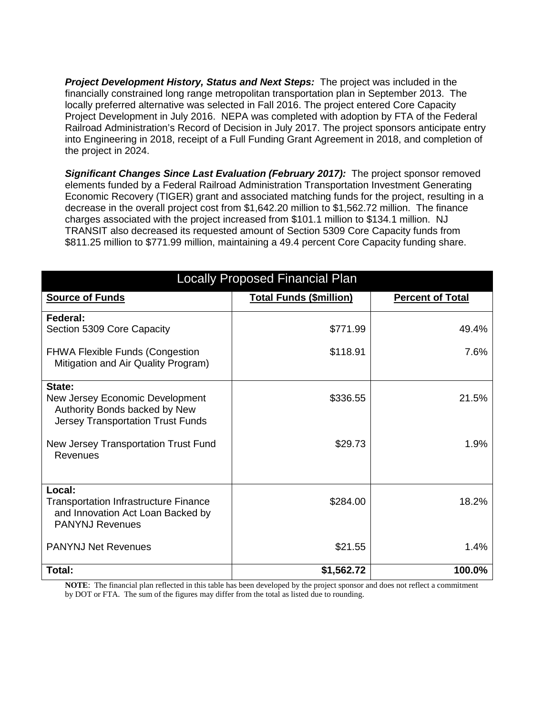*Project Development History, Status and Next Steps:* The project was included in the Project Development in July 2016. NEPA was completed with adoption by FTA of the Federal financially constrained long range metropolitan transportation plan in September 2013. The locally preferred alternative was selected in Fall 2016. The project entered Core Capacity Railroad Administration's Record of Decision in July 2017. The project sponsors anticipate entry into Engineering in 2018, receipt of a Full Funding Grant Agreement in 2018, and completion of the project in 2024.

Significant Changes Since Last Evaluation (February 2017): The project sponsor removed Economic Recovery (TIGER) grant and associated matching funds for the project, resulting in a charges associated with the project increased from \$101.1 million to \$134.1 million. NJ TRANSIT also decreased its requested amount of Section 5309 Core Capacity funds from \$811.25 million to \$771.99 million, maintaining a 49.4 percent Core Capacity funding share. elements funded by a Federal Railroad Administration Transportation Investment Generating decrease in the overall project cost from \$1,642.20 million to \$1,562.72 million. The finance

| <b>Locally Proposed Financial Plan</b>                                                                                 |                                |                         |  |
|------------------------------------------------------------------------------------------------------------------------|--------------------------------|-------------------------|--|
| <b>Source of Funds</b>                                                                                                 | <b>Total Funds (\$million)</b> | <b>Percent of Total</b> |  |
| Federal:<br>Section 5309 Core Capacity                                                                                 | \$771.99                       | 49.4%                   |  |
| <b>FHWA Flexible Funds (Congestion</b><br>Mitigation and Air Quality Program)                                          | \$118.91                       | 7.6%                    |  |
| State:<br>New Jersey Economic Development<br>Authority Bonds backed by New<br><b>Jersey Transportation Trust Funds</b> | \$336.55                       | 21.5%                   |  |
| New Jersey Transportation Trust Fund<br>Revenues                                                                       | \$29.73                        | 1.9%                    |  |
| Local:<br><b>Transportation Infrastructure Finance</b><br>and Innovation Act Loan Backed by<br><b>PANYNJ Revenues</b>  | \$284.00                       | 18.2%                   |  |
| <b>PANYNJ Net Revenues</b>                                                                                             | \$21.55                        | 1.4%                    |  |
| Total:                                                                                                                 | \$1,562.72                     | 100.0%                  |  |

 **NOTE**: The financial plan reflected in this table has been developed by the project sponsor and does not reflect a commitment by DOT or FTA. The sum of the figures may differ from the total as listed due to rounding.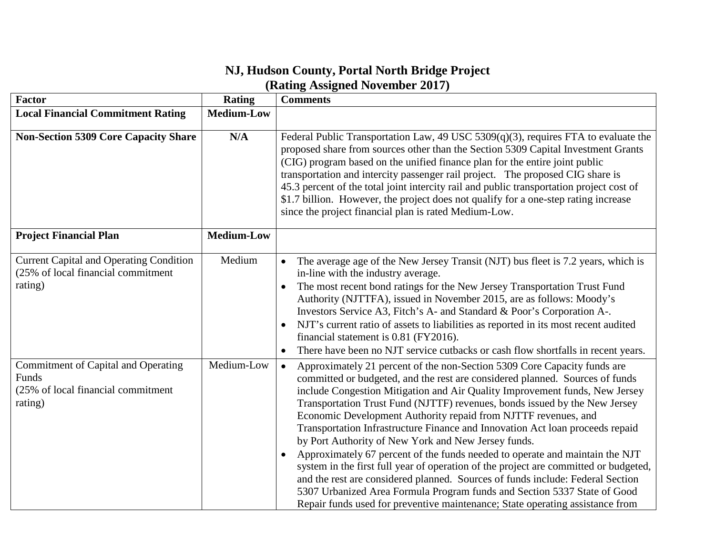## **NJ, Hudson County, Portal North Bridge Project (Rating Assigned November 2017)**

| Factor                                                                                          | <b>Rating</b>     | <b>Comments</b>                                                                                                                                                                                                                                                                                                                                                                                                                                                                                                                                                                                                                                                                                                                                                                                                                                                                                                                                                                  |
|-------------------------------------------------------------------------------------------------|-------------------|----------------------------------------------------------------------------------------------------------------------------------------------------------------------------------------------------------------------------------------------------------------------------------------------------------------------------------------------------------------------------------------------------------------------------------------------------------------------------------------------------------------------------------------------------------------------------------------------------------------------------------------------------------------------------------------------------------------------------------------------------------------------------------------------------------------------------------------------------------------------------------------------------------------------------------------------------------------------------------|
| <b>Local Financial Commitment Rating</b>                                                        | <b>Medium-Low</b> |                                                                                                                                                                                                                                                                                                                                                                                                                                                                                                                                                                                                                                                                                                                                                                                                                                                                                                                                                                                  |
| <b>Non-Section 5309 Core Capacity Share</b>                                                     | N/A               | Federal Public Transportation Law, 49 USC 5309(q)(3), requires FTA to evaluate the<br>proposed share from sources other than the Section 5309 Capital Investment Grants<br>(CIG) program based on the unified finance plan for the entire joint public<br>transportation and intercity passenger rail project. The proposed CIG share is<br>45.3 percent of the total joint intercity rail and public transportation project cost of<br>\$1.7 billion. However, the project does not qualify for a one-step rating increase<br>since the project financial plan is rated Medium-Low.                                                                                                                                                                                                                                                                                                                                                                                             |
| <b>Project Financial Plan</b>                                                                   | <b>Medium-Low</b> |                                                                                                                                                                                                                                                                                                                                                                                                                                                                                                                                                                                                                                                                                                                                                                                                                                                                                                                                                                                  |
| <b>Current Capital and Operating Condition</b><br>(25% of local financial commitment<br>rating) | Medium            | The average age of the New Jersey Transit (NJT) bus fleet is 7.2 years, which is<br>$\bullet$<br>in-line with the industry average.<br>The most recent bond ratings for the New Jersey Transportation Trust Fund<br>$\bullet$<br>Authority (NJTTFA), issued in November 2015, are as follows: Moody's<br>Investors Service A3, Fitch's A- and Standard & Poor's Corporation A-.<br>NJT's current ratio of assets to liabilities as reported in its most recent audited<br>$\bullet$<br>financial statement is 0.81 (FY2016).<br>There have been no NJT service cutbacks or cash flow shortfalls in recent years.<br>$\bullet$                                                                                                                                                                                                                                                                                                                                                    |
| Commitment of Capital and Operating<br>Funds<br>(25% of local financial commitment<br>rating)   | Medium-Low        | Approximately 21 percent of the non-Section 5309 Core Capacity funds are<br>$\bullet$<br>committed or budgeted, and the rest are considered planned. Sources of funds<br>include Congestion Mitigation and Air Quality Improvement funds, New Jersey<br>Transportation Trust Fund (NJTTF) revenues, bonds issued by the New Jersey<br>Economic Development Authority repaid from NJTTF revenues, and<br>Transportation Infrastructure Finance and Innovation Act loan proceeds repaid<br>by Port Authority of New York and New Jersey funds.<br>Approximately 67 percent of the funds needed to operate and maintain the NJT<br>$\bullet$<br>system in the first full year of operation of the project are committed or budgeted,<br>and the rest are considered planned. Sources of funds include: Federal Section<br>5307 Urbanized Area Formula Program funds and Section 5337 State of Good<br>Repair funds used for preventive maintenance; State operating assistance from |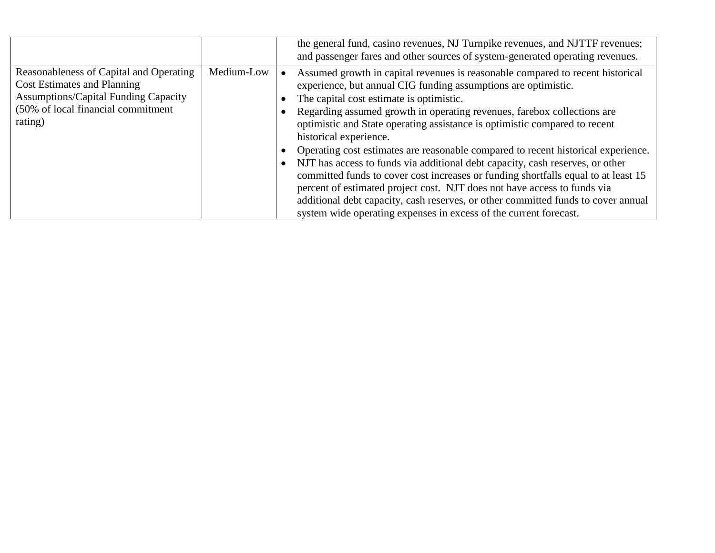|                                                                                                                                                                               |            | the general fund, casino revenues, NJ Turnpike revenues, and NJTTF revenues;<br>and passenger fares and other sources of system-generated operating revenues.                                                                                                                                                                                                                                                                                                                                                                                                                                                                                                                                                                                                                                                                                                                                  |
|-------------------------------------------------------------------------------------------------------------------------------------------------------------------------------|------------|------------------------------------------------------------------------------------------------------------------------------------------------------------------------------------------------------------------------------------------------------------------------------------------------------------------------------------------------------------------------------------------------------------------------------------------------------------------------------------------------------------------------------------------------------------------------------------------------------------------------------------------------------------------------------------------------------------------------------------------------------------------------------------------------------------------------------------------------------------------------------------------------|
| Reasonableness of Capital and Operating<br><b>Cost Estimates and Planning</b><br><b>Assumptions/Capital Funding Capacity</b><br>(50% of local financial commitment<br>rating) | Medium-Low | Assumed growth in capital revenues is reasonable compared to recent historical<br>experience, but annual CIG funding assumptions are optimistic.<br>The capital cost estimate is optimistic.<br>Regarding assumed growth in operating revenues, farebox collections are<br>optimistic and State operating assistance is optimistic compared to recent<br>historical experience.<br>Operating cost estimates are reasonable compared to recent historical experience.<br>NJT has access to funds via additional debt capacity, cash reserves, or other<br>$\bullet$<br>committed funds to cover cost increases or funding shortfalls equal to at least 15<br>percent of estimated project cost. NJT does not have access to funds via<br>additional debt capacity, cash reserves, or other committed funds to cover annual<br>system wide operating expenses in excess of the current forecast. |